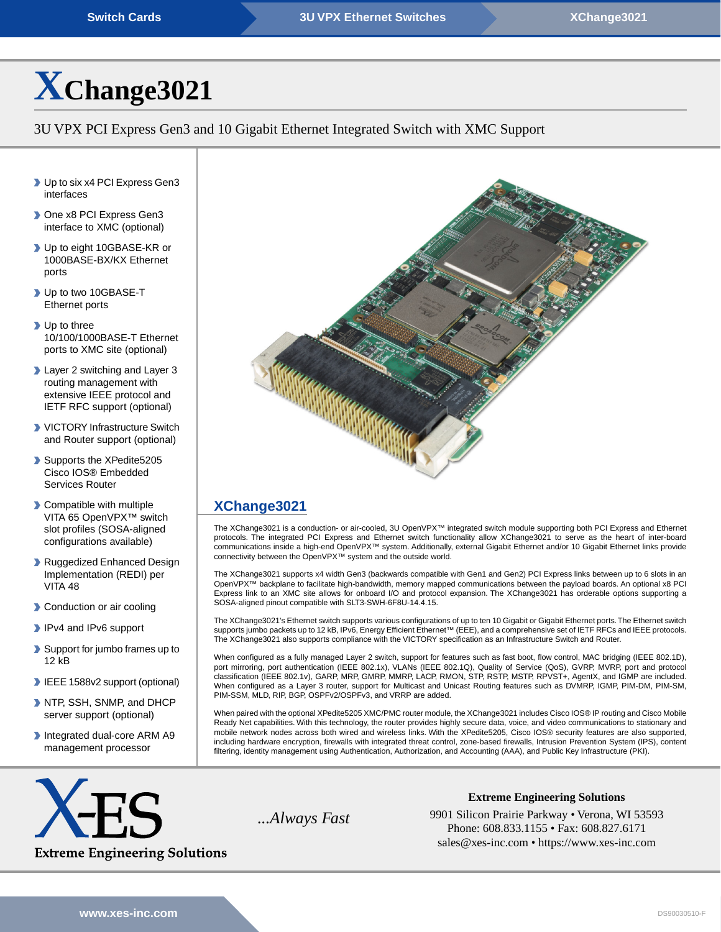# **[X](https://www.xes-inc.com/products/switches/xchange3021/?utm_source=dynamic&utm_medium=referral&utm_term=XChange3021&utm_content=Title&utm_campaign=Datasheet)[Change3021](https://www.xes-inc.com/products/switches/xchange3021/?utm_source=dynamic&utm_medium=referral&utm_term=XChange3021&utm_content=Title&utm_campaign=Datasheet)**

### 3U VPX PCI Express Gen3 and 10 Gigabit Ethernet Integrated Switch with XMC Support

- ▶ Up to six x4 PCI Express Gen3 interfaces
- ▶ One x8 PCI Express Gen3 interface to XMC (optional)
- ▶ Up to eight 10GBASE-KR or 1000BASE-BX/KX Ethernet ports
- ▶ Up to two 10GBASE-T Ethernet ports
- Up to three 10/100/1000BASE-T Ethernet ports to XMC site (optional)
- **Layer 2 switching and Layer 3** routing management with extensive IEEE protocol and IETF RFC support (optional)
- **VICTORY Infrastructure Switch** and Router support (optional)
- Supports the XPedite5205 Cisco IOS® Embedded Services Router
- **Compatible with multiple** VITA 65 OpenVPX™ switch slot profiles (SOSA-aligned configurations available)
- Ruggedized Enhanced Design Implementation (REDI) per VITA 48
- **Conduction or air cooling**
- IPv4 and IPv6 support
- Support for jumbo frames up to 12 kB
- **IEEE 1588v2 support (optional)**
- NTP, SSH, SNMP, and DHCP server support (optional)
- Integrated dual-core ARM A9 management processor



## **[XChange3021](https://www.xes-inc.com/products/switches/xchange3021/?utm_source=dynamic&utm_medium=referral&utm_term=XChange3021&utm_content=Description%20Title&utm_campaign=Datasheet)**

The XChange3021 is a conduction- or air-cooled, 3U OpenVPX™ integrated switch module supporting both PCI Express and Ethernet protocols. The integrated PCI Express and Ethernet switch functionality allow XChange3021 to serve as the heart of inter-board communications inside a high-end OpenVPX™ system. Additionally, external Gigabit Ethernet and/or 10 Gigabit Ethernet links provide connectivity between the OpenVPX™ system and the outside world.

The XChange3021 supports x4 width Gen3 (backwards compatible with Gen1 and Gen2) PCI Express links between up to 6 slots in an OpenVPX™ backplane to facilitate high-bandwidth, memory mapped communications between the payload boards. An optional x8 PCI Express link to an XMC site allows for onboard I/O and protocol expansion. The XChange3021 has orderable options supporting a SOSA-aligned pinout compatible with SLT3-SWH-6F8U-14.4.15.

The XChange3021's Ethernet switch supports various configurations of up to ten 10 Gigabit or Gigabit Ethernet ports.The Ethernet switch supports jumbo packets up to 12 kB, IPv6, Energy Efficient Ethernet™ (EEE), and a comprehensive set of IETF RFCs and IEEE protocols. The XChange3021 also supports compliance with the VICTORY specification as an Infrastructure Switch and Router.

When configured as a fully managed Layer 2 switch, support for features such as fast boot, flow control, MAC bridging (IEEE 802.1D), port mirroring, port authentication (IEEE 802.1x), VLANs (IEEE 802.1Q), Quality of Service (QoS), GVRP, MVRP, port and protocol classification (IEEE 802.1v), GARP, MRP, GMRP, MMRP, LACP, RMON, STP, RSTP, MSTP, RPVST+, AgentX, and IGMP are included. When configured as a Layer 3 router, support for Multicast and Unicast Routing features such as DVMRP, IGMP, PIM-DM, PIM-SM, PIM-SSM, MLD, RIP, BGP, OSPFv2/OSPFv3, and VRRP are added.

When paired with the optional XPedite5205 XMC/PMC router module, the XChange3021 includes Cisco IOS® IP routing and Cisco Mobile Ready Net capabilities. With this technology, the router provides highly secure data, voice, and video communications to stationary and mobile network nodes across both wired and wireless links. With the XPedite5205, Cisco IOS® security features are also supported, including hardware encryption, firewalls with integrated threat control, zone-based firewalls, Intrusion Prevention System (IPS), content filtering, identity management using Authentication, Authorization, and Accounting (AAA), and Public Key Infrastructure (PKI).



**Extreme Engineering Solutions**

...*Always Fast* 9901 Silicon Prairie Parkway • Verona, WI 53593 Phone: 608.833.1155 • Fax: 608.827.6171 sales@xes-inc.com • <https://www.xes-inc.com>